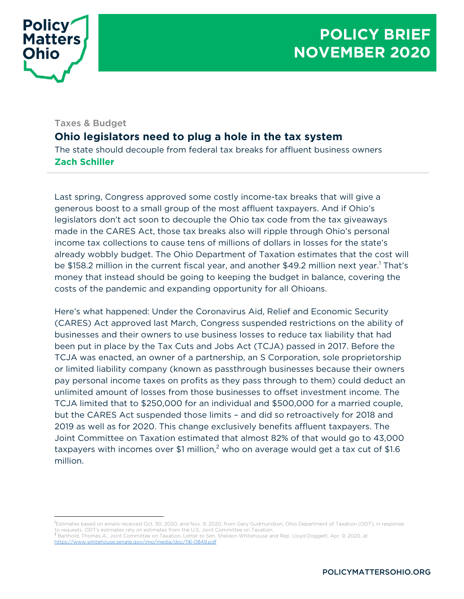

## Taxes & Budget

# **Ohio legislators need to plug a hole in the tax system**

The state should decouple from federal tax breaks for affluent business owners **Zach Schiller**

Last spring, Congress approved some costly income-tax breaks that will give a generous boost to a small group of the most affluent taxpayers. And if Ohio's legislators don't act soon to decouple the Ohio tax code from the tax giveaways made in the CARES Act, those tax breaks also will ripple through Ohio's personal income tax collections to cause tens of millions of dollars in losses for the state's already wobbly budget. The Ohio Department of Taxation estimates that the cost will be \$158.2 million in the current fiscal year, and another \$49.2 million next year.<sup>1</sup> That's money that instead should be going to keeping the budget in balance, covering the costs of the pandemic and expanding opportunity for all Ohioans.

Here's what happened: Under the Coronavirus Aid, Relief and Economic Security (CARES) Act approved last March, Congress suspended restrictions on the ability of businesses and their owners to use business losses to reduce tax liability that had been put in place by the Tax Cuts and Jobs Act (TCJA) passed in 2017. Before the TCJA was enacted, an owner of a partnership, an S Corporation, sole proprietorship or limited liability company (known as passthrough businesses because their owners pay personal income taxes on profits as they pass through to them) could deduct an unlimited amount of losses from those businesses to offset investment income. The TCJA limited that to \$250,000 for an individual and \$500,000 for a married couple, but the CARES Act suspended those limits – and did so retroactively for 2018 and 2019 as well as for 2020. This change exclusively benefits affluent taxpayers. The Joint Committee on Taxation estimated that almost 82% of that would go to 43,000 taxpayers with incomes over \$1 million,<sup>2</sup> who on average would get a tax cut of \$1.6 million.

<sup>1</sup> Estimates based on emails received Oct. 30, 2020, and Nov. 9, 2020, from Gary Gudmundson, Ohio Department of Taxation (ODT), in response to requests. ODT's estimates rely on estimates from the U.S. Joint Committee on Taxation.<br><sup>2</sup> Barthold, Thomas A., Joint Committee on Taxation, Letter to Sen. Sheldon Whitehouse and Rep. Lloyd Doggett, Apr. 9, 2020, at

https://www.whitehouse.senate.gov/imo/media/doc/116-0849.pdf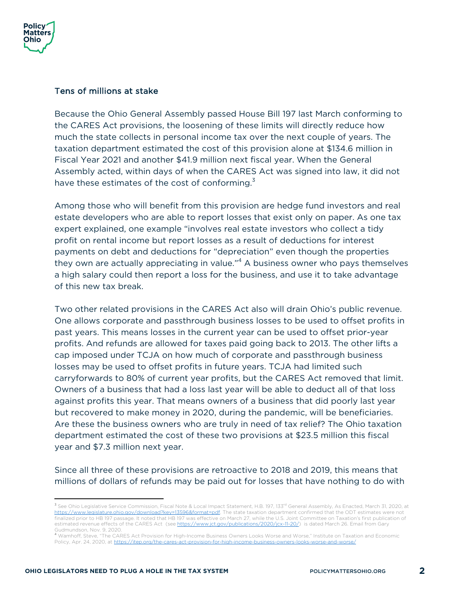

#### Tens of millions at stake

Because the Ohio General Assembly passed House Bill 197 last March conforming to the CARES Act provisions, the loosening of these limits will directly reduce how much the state collects in personal income tax over the next couple of years. The taxation department estimated the cost of this provision alone at \$134.6 million in Fiscal Year 2021 and another \$41.9 million next fiscal year. When the General Assembly acted, within days of when the CARES Act was signed into law, it did not have these estimates of the cost of conforming. $3$ 

Among those who will benefit from this provision are hedge fund investors and real estate developers who are able to report losses that exist only on paper. As one tax expert explained, one example "involves real estate investors who collect a tidy profit on rental income but report losses as a result of deductions for interest payments on debt and deductions for "depreciation" even though the properties they own are actually appreciating in value."<sup>4</sup> A business owner who pays themselves a high salary could then report a loss for the business, and use it to take advantage of this new tax break.

Two other related provisions in the CARES Act also will drain Ohio's public revenue. One allows corporate and passthrough business losses to be used to offset profits in past years. This means losses in the current year can be used to offset prior-year profits. And refunds are allowed for taxes paid going back to 2013. The other lifts a cap imposed under TCJA on how much of corporate and passthrough business losses may be used to offset profits in future years. TCJA had limited such carryforwards to 80% of current year profits, but the CARES Act removed that limit. Owners of a business that had a loss last year will be able to deduct all of that loss against profits this year. That means owners of a business that did poorly last year but recovered to make money in 2020, during the pandemic, will be beneficiaries. Are these the business owners who are truly in need of tax relief? The Ohio taxation department estimated the cost of these two provisions at \$23.5 million this fiscal year and \$7.3 million next year.

Since all three of these provisions are retroactive to 2018 and 2019, this means that millions of dollars of refunds may be paid out for losses that have nothing to do with

<sup>&</sup>lt;sup>3</sup> See Ohio Legislative Service Commission, Fiscal Note & Local Impact Statement, H.B. 197, 133<sup>rd</sup> General Assembly, As Enacted, March 31, 2020, at https://www.legislature.ohio.gov/download?key=13596&format=pdf. The state taxation department confirmed that the ODT estimates were not finalized prior to HB 197 passage. It noted that HB 197 was effective on March 27, while the U.S. Joint Committee on Taxation's first publication of estimated revenue effects of the CARES Act (see https://www.jct.gov/publications/2020/jcx-11-20/) is dated March 26. Email from Gary

Gudmundson, Nov. 9, 2020.<br><sup>4</sup> Wamhoff, Steve, "The CARES Act Provision for High-Income Business Owners Looks Worse and Worse," Institute on Taxation and Economic Policy, Apr. 24, 2020, at https://itep.org/the-cares-act-provision-for-high-income-business-owners-looks-worse-and-worse/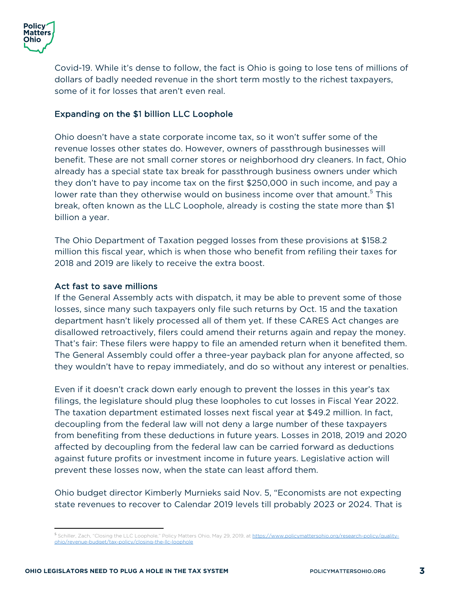

Covid-19. While it's dense to follow, the fact is Ohio is going to lose tens of millions of dollars of badly needed revenue in the short term mostly to the richest taxpayers, some of it for losses that aren't even real.

## Expanding on the \$1 billion LLC Loophole

Ohio doesn't have a state corporate income tax, so it won't suffer some of the revenue losses other states do. However, owners of passthrough businesses will benefit. These are not small corner stores or neighborhood dry cleaners. In fact, Ohio already has a special state tax break for passthrough business owners under which they don't have to pay income tax on the first \$250,000 in such income, and pay a lower rate than they otherwise would on business income over that amount.<sup>5</sup> This break, often known as the LLC Loophole, already is costing the state more than \$1 billion a year.

The Ohio Department of Taxation pegged losses from these provisions at \$158.2 million this fiscal year, which is when those who benefit from refiling their taxes for 2018 and 2019 are likely to receive the extra boost.

### Act fast to save millions

If the General Assembly acts with dispatch, it may be able to prevent some of those losses, since many such taxpayers only file such returns by Oct. 15 and the taxation department hasn't likely processed all of them yet. If these CARES Act changes are disallowed retroactively, filers could amend their returns again and repay the money. That's fair: These filers were happy to file an amended return when it benefited them. The General Assembly could offer a three-year payback plan for anyone affected, so they wouldn't have to repay immediately, and do so without any interest or penalties.

Even if it doesn't crack down early enough to prevent the losses in this year's tax filings, the legislature should plug these loopholes to cut losses in Fiscal Year 2022. The taxation department estimated losses next fiscal year at \$49.2 million. In fact, decoupling from the federal law will not deny a large number of these taxpayers from benefiting from these deductions in future years. Losses in 2018, 2019 and 2020 affected by decoupling from the federal law can be carried forward as deductions against future profits or investment income in future years. Legislative action will prevent these losses now, when the state can least afford them.

Ohio budget director Kimberly Murnieks said Nov. 5, "Economists are not expecting state revenues to recover to Calendar 2019 levels till probably 2023 or 2024. That is

<sup>5</sup> Schiller, Zach, "Closing the LLC Loophole," Policy Matters Ohio, May 29, 2019, at https://www.policymattersohio.org/research-policy/qualityohio/revenue-budget/tax-policy/closing-the-llc-loophole